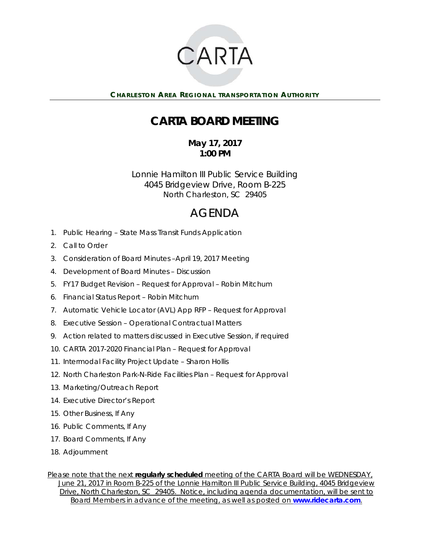

## **CARTA BOARD MEETING**

## **May 17, 2017 1:00 PM**

Lonnie Hamilton III Public Service Building 4045 Bridgeview Drive, Room B-225 North Charleston, SC 29405

## AGENDA

- 1. Public Hearing State Mass Transit Funds Application
- 2. Call to Order
- 3. Consideration of Board Minutes –April 19, 2017 Meeting
- 4. Development of Board Minutes Discussion
- 5. FY17 Budget Revision Request for Approval Robin Mitchum
- 6. Financial Status Report Robin Mitchum
- 7. Automatic Vehicle Locator (AVL) App RFP Request for Approval
- 8. Executive Session Operational Contractual Matters
- 9. Action related to matters discussed in Executive Session, if required
- 10. CARTA 2017-2020 Financial Plan Request for Approval
- 11. Intermodal Facility Project Update Sharon Hollis
- 12. North Charleston Park-N-Ride Facilities Plan Request for Approval
- 13. Marketing/Outreach Report
- 14. Executive Director's Report
- 15. Other Business, If Any
- 16. Public Comments, If Any
- 17. Board Comments, If Any
- 18. Adjournment

*Please note that the next regularly scheduled meeting of the CARTA Board will be WEDNESDAY, June 21, 2017 in Room B-225 of the Lonnie Hamilton III Public Service Building, 4045 Bridgeview Drive, North Charleston, SC 29405. Notice, including agenda documentation, will be sent to Board Members in advance of the meeting, as well as posted on www.ridecarta.com.*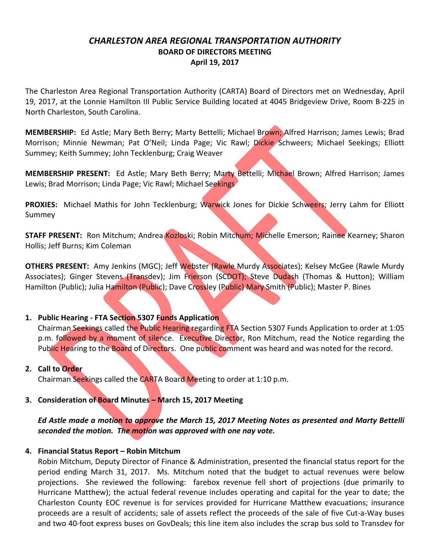## *CHARLESTON AREA REGIONAL TRANSPORTATION AUTHORITY* **BOARD OF DIRECTORS MEETING April 19, 2017**

The Charleston Area Regional Transportation Authority (CARTA) Board of Directors met on Wednesday, April 19, 2017, at the Lonnie Hamilton III Public Service Building located at 4045 Bridgeview Drive, Room B‐225 in North Charleston, South Carolina.

**MEMBERSHIP:** Ed Astle; Mary Beth Berry; Marty Bettelli; Michael Brown; Alfred Harrison; James Lewis; Brad Morrison; Minnie Newman; Pat O'Neil; Linda Page; Vic Rawl; Dickie Schweers; Michael Seekings; Elliott Summey; Keith Summey; John Tecklenburg; Craig Weaver

**MEMBERSHIP PRESENT:**  Ed Astle; Mary Beth Berry; Marty Bettelli; Michael Brown; Alfred Harrison; James Lewis; Brad Morrison; Linda Page; Vic Rawl; Michael Seekings

**PROXIES:** Michael Mathis for John Tecklenburg; Warwick Jones for Dickie Schweers; Jerry Lahm for Elliott Summey

**STAFF PRESENT:** Ron Mitchum; Andrea Kozloski; Robin Mitchum; Michelle Emerson; Rainee Kearney; Sharon Hollis; Jeff Burns; Kim Coleman

**OTHERS PRESENT:** Amy Jenkins (MGC); Jeff Webster (Rawle Murdy Associates); Kelsey McGee (Rawle Murdy Associates); Ginger Stevens (Transdev); Jim Frierson (SCDOT); Steve Dudash (Thomas & Hutton); William Hamilton (Public); Julia Hamilton (Public); Dave Crossley (Public) Mary Smith (Public); Master P. Bines

## **1. Public Hearing ‐ FTA Section 5307 Funds Application**

Chairman Seekings called the Public Hearing regarding FTA Section 5307 Funds Application to order at 1:05 p.m. followed by a moment of silence. Executive Director, Ron Mitchum, read the Notice regarding the Public Hearing to the Board of Directors. One public comment was heard and was noted for the record.

## **2. Call to Order**

Chairman Seekings called the CARTA Board Meeting to order at 1:10 p.m.

## **3. Consideration of Board Minutes – March 15, 2017 Meeting**

*Ed Astle made a motion to approve the March 15, 2017 Meeting Notes as presented and Marty Bettelli seconded the motion. The motion was approved with one nay vote.*

## **4. Financial Status Report – Robin Mitchum**

Robin Mitchum, Deputy Director of Finance & Administration, presented the financial status report for the period ending March 31, 2017. Ms. Mitchum noted that the budget to actual revenues were below projections. She reviewed the following: farebox revenue fell short of projections (due primarily to Hurricane Matthew); the actual federal revenue includes operating and capital for the year to date; the Charleston County EOC revenue is for services provided for Hurricane Matthew evacuations; insurance proceeds are a result of accidents; sale of assets reflect the proceeds of the sale of five Cut‐a‐Way buses and two 40‐foot express buses on GovDeals; this line item also includes the scrap bus sold to Transdev for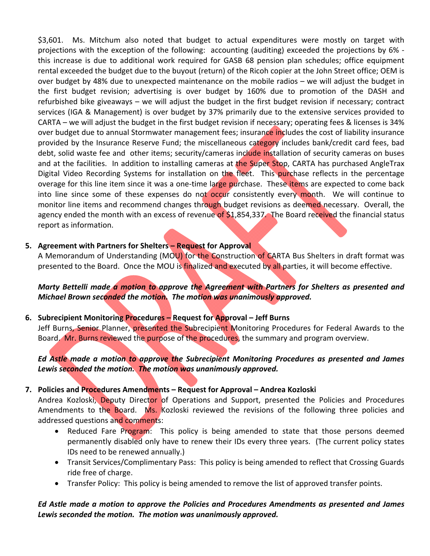\$3,601. Ms. Mitchum also noted that budget to actual expenditures were mostly on target with projections with the exception of the following: accounting (auditing) exceeded the projections by 6% ‐ this increase is due to additional work required for GASB 68 pension plan schedules; office equipment rental exceeded the budget due to the buyout (return) of the Ricoh copier at the John Street office; OEM is over budget by 48% due to unexpected maintenance on the mobile radios – we will adjust the budget in the first budget revision; advertising is over budget by 160% due to promotion of the DASH and refurbished bike giveaways – we will adjust the budget in the first budget revision if necessary; contract services (IGA & Management) is over budget by 37% primarily due to the extensive services provided to CARTA – we will adjust the budget in the first budget revision if necessary; operating fees & licenses is 34% over budget due to annual Stormwater management fees; insurance includes the cost of liability insurance provided by the Insurance Reserve Fund; the miscellaneous category includes bank/credit card fees, bad debt, solid waste fee and other items; security/cameras include installation of security cameras on buses and at the facilities. In addition to installing cameras at the Super Stop, CARTA has purchased AngleTrax Digital Video Recording Systems for installation on the fleet. This purchase reflects in the percentage overage for this line item since it was a one-time large purchase. These items are expected to come back into line since some of these expenses do not occur consistently every month. We will continue to monitor line items and recommend changes through budget revisions as deemed necessary. Overall, the agency ended the month with an excess of revenue of \$1,854,337. The Board received the financial status report as information.

## **5. Agreement with Partners for Shelters – Request for Approval**

A Memorandum of Understanding (MOU) for the Construction of CARTA Bus Shelters in draft format was presented to the Board. Once the MOU is finalized and executed by all parties, it will become effective.

*Marty Bettelli made a motion to approve the Agreement with Partners for Shelters as presented and Michael Brown seconded the motion. The motion was unanimously approved.* 

## **6. Subrecipient Monitoring Procedures – Request for Approval – Jeff Burns**

Jeff Burns, Senior Planner, presented the Subrecipient Monitoring Procedures for Federal Awards to the Board. Mr. Burns reviewed the purpose of the procedures, the summary and program overview.

## *Ed Astle made a motion to approve the Subrecipient Monitoring Procedures as presented and James Lewis seconded the motion. The motion was unanimously approved.*

## **7. Policies and Procedures Amendments – Request for Approval – Andrea Kozloski**

Andrea Kozloski, Deputy Director of Operations and Support, presented the Policies and Procedures Amendments to the Board. Ms. Kozloski reviewed the revisions of the following three policies and addressed questions and comments:

- Reduced Fare Program: This policy is being amended to state that those persons deemed permanently disabled only have to renew their IDs every three years. (The current policy states IDs need to be renewed annually.)
- Transit Services/Complimentary Pass: This policy is being amended to reflect that Crossing Guards ride free of charge.
- Transfer Policy: This policy is being amended to remove the list of approved transfer points.

## *Ed Astle made a motion to approve the Policies and Procedures Amendments as presented and James Lewis seconded the motion. The motion was unanimously approved.*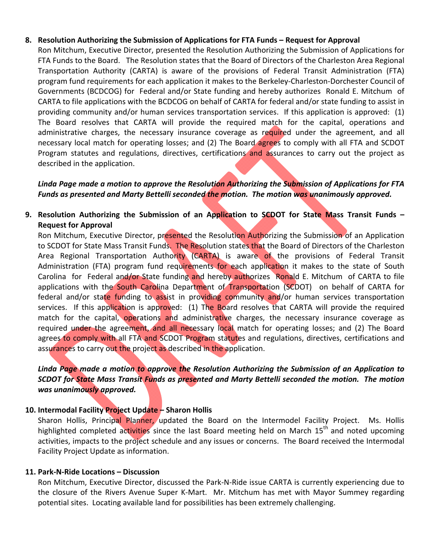## **8. Resolution Authorizing the Submission of Applications for FTA Funds – Request for Approval**

Ron Mitchum, Executive Director, presented the Resolution Authorizing the Submission of Applications for FTA Funds to the Board. The Resolution states that the Board of Directors of the Charleston Area Regional Transportation Authority (CARTA) is aware of the provisions of Federal Transit Administration (FTA) program fund requirements for each application it makes to the Berkeley‐Charleston‐Dorchester Council of Governments (BCDCOG) for Federal and/or State funding and hereby authorizes Ronald E. Mitchum of CARTA to file applications with the BCDCOG on behalf of CARTA for federal and/or state funding to assist in providing community and/or human services transportation services. If this application is approved: (1) The Board resolves that CARTA will provide the required match for the capital, operations and administrative charges, the necessary insurance coverage as required under the agreement, and all necessary local match for operating losses; and (2) The Board agrees to comply with all FTA and SCDOT Program statutes and regulations, directives, certifications and assurances to carry out the project as described in the application.

## *Linda Page made a motion to approve the Resolution Authorizing the Submission of Applications for FTA Funds as presented and Marty Bettelli seconded the motion. The motion was unanimously approved.*

## **9. Resolution Authorizing the Submission of an Application to SCDOT for State Mass Transit Funds – Request for Approval**

Ron Mitchum, Executive Director, presented the Resolution Authorizing the Submission of an Application to SCDOT for State Mass Transit Funds. The Resolution states that the Board of Directors of the Charleston Area Regional Transportation Authority (CARTA) is aware of the provisions of Federal Transit Administration (FTA) program fund requirements for each application it makes to the state of South Carolina for Federal and/or State funding and hereby authorizes Ronald E. Mitchum of CARTA to file applications with the South Carolina Department of Transportation (SCDOT) on behalf of CARTA for federal and/or state funding to assist in providing community and/or human services transportation services. If this application is approved: (1) The Board resolves that CARTA will provide the required match for the capital, operations and administrative charges, the necessary insurance coverage as required under the agreement, and all necessary local match for operating losses; and (2) The Board agrees to comply with all FTA and SCDOT Program statutes and regulations, directives, certifications and assurances to carry out the project as described in the application.

## *Linda Page made a motion to approve the Resolution Authorizing the Submission of an Application to SCDOT for State Mass Transit Funds as presented and Marty Bettelli seconded the motion. The motion was unanimously approved.*

## **10. Intermodal Facility Project Update – Sharon Hollis**

Sharon Hollis, Principal Planner, updated the Board on the Intermodel Facility Project. Ms. Hollis highlighted completed activities since the last Board meeting held on March 15<sup>th</sup> and noted upcoming activities, impacts to the project schedule and any issues or concerns. The Board received the Intermodal Facility Project Update as information.

## **11. Park‐N‐Ride Locations – Discussion**

Ron Mitchum, Executive Director, discussed the Park‐N‐Ride issue CARTA is currently experiencing due to the closure of the Rivers Avenue Super K‐Mart. Mr. Mitchum has met with Mayor Summey regarding potential sites. Locating available land for possibilities has been extremely challenging.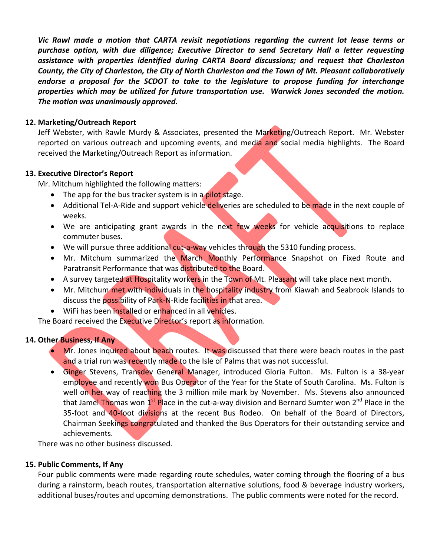*Vic Rawl made a motion that CARTA revisit negotiations regarding the current lot lease terms or purchase option, with due diligence; Executive Director to send Secretary Hall a letter requesting assistance with properties identified during CARTA Board discussions; and request that Charleston County, the City of Charleston, the City of North Charleston and the Town of Mt. Pleasant collaboratively endorse a proposal for the SCDOT to take to the legislature to propose funding for interchange properties which may be utilized for future transportation use. Warwick Jones seconded the motion. The motion was unanimously approved.* 

## **12. Marketing/Outreach Report**

Jeff Webster, with Rawle Murdy & Associates, presented the Marketing/Outreach Report. Mr. Webster reported on various outreach and upcoming events, and media and social media highlights. The Board received the Marketing/Outreach Report as information.

## **13. Executive Director's Report**

Mr. Mitchum highlighted the following matters:

- The app for the bus tracker system is in a pilot stage.
- Additional Tel-A-Ride and support vehicle deliveries are scheduled to be made in the next couple of weeks.
- We are anticipating grant awards in the next few weeks for vehicle acquisitions to replace commuter buses.
- We will pursue three additional cut-a-way vehicles through the 5310 funding process.
- Mr. Mitchum summarized the March Monthly Performance Snapshot on Fixed Route and Paratransit Performance that was distributed to the Board.
- A survey targeted at Hospitality workers in the Town of Mt. Pleasant will take place next month.
- Mr. Mitchum met with individuals in the hospitality industry from Kiawah and Seabrook Islands to discuss the possibility of Park-N-Ride facilities in that area.
- WiFi has been installed or enhanced in all vehicles.

The Board received the Executive Director's report as information.

## **14. Other Business, If Any**

- **Mr.** Jones inquired about beach routes. It was discussed that there were beach routes in the past and a trial run was recently made to the Isle of Palms that was not successful.
- Ginger Stevens, Transdey General Manager, introduced Gloria Fulton. Ms. Fulton is a 38-year employee and recently won Bus Operator of the Year for the State of South Carolina. Ms. Fulton is well on her way of reaching the 3 million mile mark by November. Ms. Stevens also announced that Jamel Thomas won 1<sup>st</sup> Place in the cut-a-way division and Bernard Sumter won 2<sup>nd</sup> Place in the 35-foot and 40-foot divisions at the recent Bus Rodeo. On behalf of the Board of Directors, Chairman Seekings congratulated and thanked the Bus Operators for their outstanding service and achievements.

There was no other business discussed.

## **15. Public Comments, If Any**

Four public comments were made regarding route schedules, water coming through the flooring of a bus during a rainstorm, beach routes, transportation alternative solutions, food & beverage industry workers, additional buses/routes and upcoming demonstrations. The public comments were noted for the record.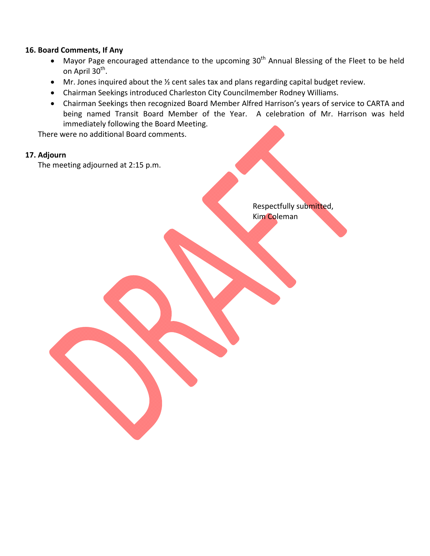## **16. Board Comments, If Any**

- Mayor Page encouraged attendance to the upcoming 30<sup>th</sup> Annual Blessing of the Fleet to be held on April 30<sup>th</sup>.
- Mr. Jones inquired about the 1/2 cent sales tax and plans regarding capital budget review.
- Chairman Seekings introduced Charleston City Councilmember Rodney Williams.
- Chairman Seekings then recognized Board Member Alfred Harrison's years of service to CARTA and being named Transit Board Member of the Year. A celebration of Mr. Harrison was held immediately following the Board Meeting.

There were no additional Board comments.

## **17. Adjourn**

The meeting adjourned at 2:15 p.m.

 Respectfully submitted, Kim Coleman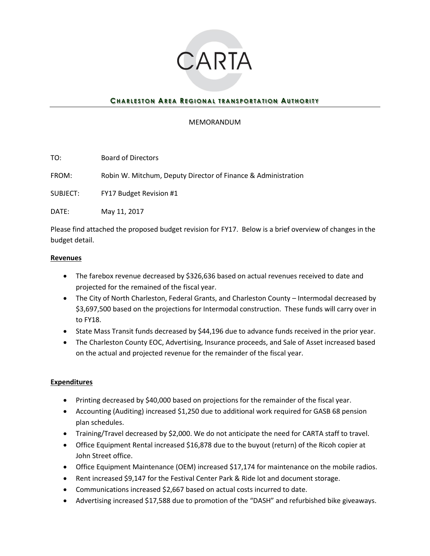

## **CHARLESTON AREA REGIONAL TRANSPORTATION AUTHORITY**

## MEMORANDUM

TO: Board of Directors

FROM: Robin W. Mitchum, Deputy Director of Finance & Administration

SUBJECT: FY17 Budget Revision #1

DATE: May 11, 2017

Please find attached the proposed budget revision for FY17. Below is a brief overview of changes in the budget detail.

## **Revenues**

- The farebox revenue decreased by \$326,636 based on actual revenues received to date and projected for the remained of the fiscal year.
- The City of North Charleston, Federal Grants, and Charleston County Intermodal decreased by \$3,697,500 based on the projections for Intermodal construction. These funds will carry over in to FY18.
- State Mass Transit funds decreased by \$44,196 due to advance funds received in the prior year.
- The Charleston County EOC, Advertising, Insurance proceeds, and Sale of Asset increased based on the actual and projected revenue for the remainder of the fiscal year.

## **Expenditures**

- Printing decreased by \$40,000 based on projections for the remainder of the fiscal year.
- Accounting (Auditing) increased \$1,250 due to additional work required for GASB 68 pension plan schedules.
- Training/Travel decreased by \$2,000. We do not anticipate the need for CARTA staff to travel.
- Office Equipment Rental increased \$16,878 due to the buyout (return) of the Ricoh copier at John Street office.
- Office Equipment Maintenance (OEM) increased \$17,174 for maintenance on the mobile radios.
- Rent increased \$9,147 for the Festival Center Park & Ride lot and document storage.
- Communications increased \$2,667 based on actual costs incurred to date.
- Advertising increased \$17,588 due to promotion of the "DASH" and refurbished bike giveaways.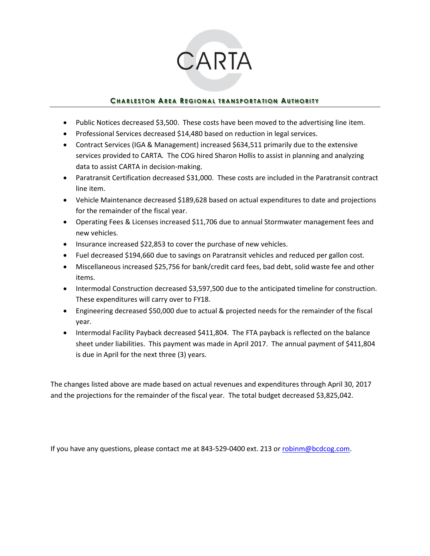# CARTA

## **CHARLESTON AREA REGIONAL TRANSPORTATION AUTHORITY**

- Public Notices decreased \$3,500. These costs have been moved to the advertising line item.
- Professional Services decreased \$14,480 based on reduction in legal services.
- Contract Services (IGA & Management) increased \$634,511 primarily due to the extensive services provided to CARTA. The COG hired Sharon Hollis to assist in planning and analyzing data to assist CARTA in decision-making.
- Paratransit Certification decreased \$31,000. These costs are included in the Paratransit contract line item.
- Vehicle Maintenance decreased \$189,628 based on actual expenditures to date and projections for the remainder of the fiscal year.
- Operating Fees & Licenses increased \$11,706 due to annual Stormwater management fees and new vehicles.
- Insurance increased \$22,853 to cover the purchase of new vehicles.
- Fuel decreased \$194,660 due to savings on Paratransit vehicles and reduced per gallon cost.
- Miscellaneous increased \$25,756 for bank/credit card fees, bad debt, solid waste fee and other items.
- Intermodal Construction decreased \$3,597,500 due to the anticipated timeline for construction. These expenditures will carry over to FY18.
- Engineering decreased \$50,000 due to actual & projected needs for the remainder of the fiscal year.
- Intermodal Facility Payback decreased \$411,804. The FTA payback is reflected on the balance sheet under liabilities. This payment was made in April 2017. The annual payment of \$411,804 is due in April for the next three (3) years.

The changes listed above are made based on actual revenues and expenditures through April 30, 2017 and the projections for the remainder of the fiscal year. The total budget decreased \$3,825,042.

If you have any questions, please contact me at 843-529-0400 ext. 213 or [robinm@bcdcog.com.](mailto:robinm@bcdcog.com)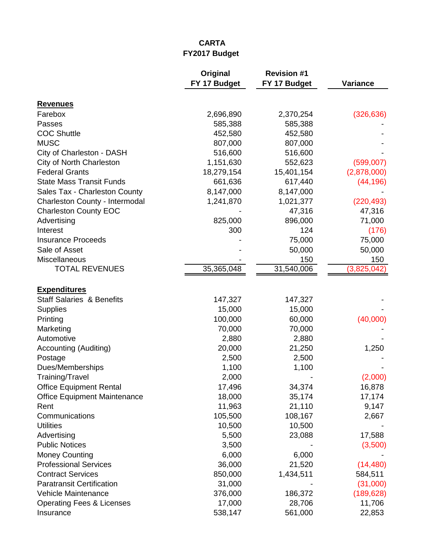## **CARTA FY2017 Budget**

|                                      | Original     | <b>Revision #1</b> |                 |
|--------------------------------------|--------------|--------------------|-----------------|
|                                      | FY 17 Budget | FY 17 Budget       | <b>Variance</b> |
| <b>Revenues</b>                      |              |                    |                 |
| Farebox                              | 2,696,890    | 2,370,254          | (326, 636)      |
| Passes                               | 585,388      | 585,388            |                 |
| <b>COC Shuttle</b>                   | 452,580      | 452,580            |                 |
| <b>MUSC</b>                          | 807,000      | 807,000            |                 |
| City of Charleston - DASH            | 516,600      | 516,600            |                 |
| City of North Charleston             | 1,151,630    | 552,623            | (599,007)       |
| <b>Federal Grants</b>                | 18,279,154   | 15,401,154         | (2,878,000)     |
| <b>State Mass Transit Funds</b>      | 661,636      | 617,440            | (44, 196)       |
| Sales Tax - Charleston County        | 8,147,000    | 8,147,000          |                 |
| Charleston County - Intermodal       | 1,241,870    | 1,021,377          | (220, 493)      |
| <b>Charleston County EOC</b>         |              | 47,316             | 47,316          |
| Advertising                          | 825,000      | 896,000            | 71,000          |
| Interest                             | 300          | 124                | (176)           |
| <b>Insurance Proceeds</b>            |              | 75,000             | 75,000          |
| Sale of Asset                        |              | 50,000             | 50,000          |
| Miscellaneous                        |              | 150                | 150             |
| <b>TOTAL REVENUES</b>                | 35,365,048   | 31,540,006         | (3,825,042)     |
| <b>Expenditures</b>                  |              |                    |                 |
| <b>Staff Salaries &amp; Benefits</b> | 147,327      | 147,327            |                 |
| <b>Supplies</b>                      | 15,000       | 15,000             |                 |
| Printing                             | 100,000      | 60,000             | (40,000)        |
| Marketing                            | 70,000       | 70,000             |                 |
| Automotive                           | 2,880        | 2,880              |                 |
| Accounting (Auditing)                | 20,000       | 21,250             | 1,250           |
| Postage                              | 2,500        | 2,500              |                 |
| Dues/Memberships                     | 1,100        | 1,100              |                 |
| Training/Travel                      | 2,000        |                    | (2,000)         |
| <b>Office Equipment Rental</b>       | 17,496       | 34,374             | 16,878          |
| <b>Office Equipment Maintenance</b>  | 18,000       | 35,174             | 17,174          |
| Rent                                 | 11,963       | 21,110             | 9,147           |
| Communications                       | 105,500      | 108,167            | 2,667           |
| <b>Utilities</b>                     | 10,500       | 10,500             |                 |
| Advertising                          | 5,500        | 23,088             | 17,588          |
| <b>Public Notices</b>                | 3,500        |                    | (3,500)         |
| <b>Money Counting</b>                | 6,000        | 6,000              |                 |
| <b>Professional Services</b>         | 36,000       | 21,520             | (14, 480)       |
| <b>Contract Services</b>             | 850,000      | 1,434,511          | 584,511         |
| <b>Paratransit Certification</b>     | 31,000       |                    | (31,000)        |
| Vehicle Maintenance                  | 376,000      | 186,372            | (189, 628)      |
| <b>Operating Fees &amp; Licenses</b> | 17,000       | 28,706             | 11,706          |
| Insurance                            | 538,147      | 561,000            | 22,853          |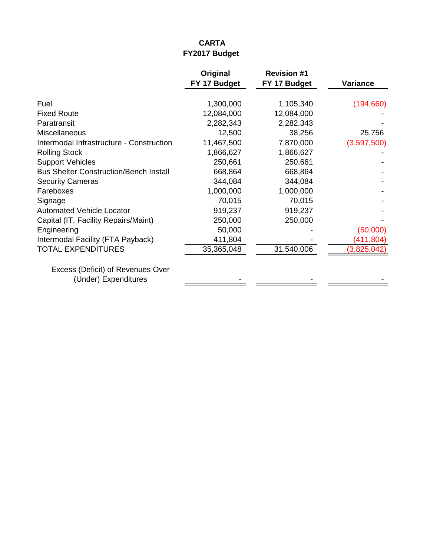## **CARTA FY2017 Budget**

|                                                           | Original<br>FY 17 Budget | <b>Revision #1</b><br>FY 17 Budget | <b>Variance</b> |
|-----------------------------------------------------------|--------------------------|------------------------------------|-----------------|
| Fuel                                                      | 1,300,000                | 1,105,340                          | (194, 660)      |
| <b>Fixed Route</b>                                        | 12,084,000               | 12,084,000                         |                 |
| Paratransit                                               | 2,282,343                | 2,282,343                          |                 |
| Miscellaneous                                             | 12,500                   | 38,256                             | 25,756          |
| Intermodal Infrastructure - Construction                  | 11,467,500               | 7,870,000                          | (3,597,500)     |
| <b>Rolling Stock</b>                                      | 1,866,627                | 1,866,627                          |                 |
| <b>Support Vehicles</b>                                   | 250,661                  | 250,661                            |                 |
| <b>Bus Shelter Construction/Bench Install</b>             | 668,864                  | 668,864                            |                 |
| <b>Security Cameras</b>                                   | 344,084                  | 344,084                            |                 |
| Fareboxes                                                 | 1,000,000                | 1,000,000                          |                 |
| Signage                                                   | 70,015                   | 70,015                             |                 |
| <b>Automated Vehicle Locator</b>                          | 919,237                  | 919,237                            |                 |
| Capital (IT, Facility Repairs/Maint)                      | 250,000                  | 250,000                            |                 |
| Engineering                                               | 50,000                   |                                    | (50,000)        |
| Intermodal Facility (FTA Payback)                         | 411,804                  |                                    | (411, 804)      |
| <b>TOTAL EXPENDITURES</b>                                 | 35,365,048               | 31,540,006                         | (3,825,042)     |
| Excess (Deficit) of Revenues Over<br>(Under) Expenditures |                          |                                    |                 |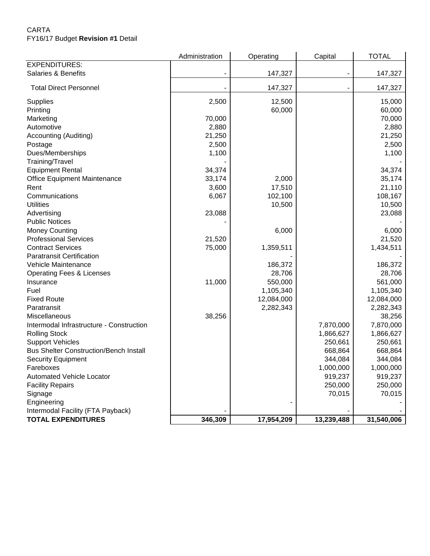## CARTA FY16/17 Budget **Revision #1** Detail

|                                               | Administration | Operating  | Capital    | <b>TOTAL</b> |
|-----------------------------------------------|----------------|------------|------------|--------------|
| <b>EXPENDITURES:</b>                          |                |            |            |              |
| Salaries & Benefits                           |                | 147,327    |            | 147,327      |
| <b>Total Direct Personnel</b>                 |                | 147,327    |            | 147,327      |
| <b>Supplies</b>                               | 2,500          | 12,500     |            | 15,000       |
| Printing                                      |                | 60,000     |            | 60,000       |
| Marketing                                     | 70,000         |            |            | 70,000       |
| Automotive                                    | 2,880          |            |            | 2,880        |
| Accounting (Auditing)                         | 21,250         |            |            | 21,250       |
| Postage                                       | 2,500          |            |            | 2,500        |
| Dues/Memberships                              | 1,100          |            |            | 1,100        |
| Training/Travel                               |                |            |            |              |
| <b>Equipment Rental</b>                       | 34,374         |            |            | 34,374       |
| Office Equipment Maintenance                  | 33,174         | 2,000      |            | 35,174       |
| Rent                                          | 3,600          | 17,510     |            | 21,110       |
| Communications                                | 6,067          | 102,100    |            | 108,167      |
| <b>Utilities</b>                              |                | 10,500     |            | 10,500       |
| Advertising                                   | 23,088         |            |            | 23,088       |
| <b>Public Notices</b>                         |                |            |            |              |
| <b>Money Counting</b>                         |                | 6,000      |            | 6,000        |
| <b>Professional Services</b>                  | 21,520         |            |            | 21,520       |
| <b>Contract Services</b>                      | 75,000         | 1,359,511  |            | 1,434,511    |
| <b>Paratransit Certification</b>              |                |            |            |              |
| Vehicle Maintenance                           |                | 186,372    |            | 186,372      |
| <b>Operating Fees &amp; Licenses</b>          |                | 28,706     |            | 28,706       |
| Insurance                                     | 11,000         | 550,000    |            | 561,000      |
| Fuel                                          |                | 1,105,340  |            | 1,105,340    |
| <b>Fixed Route</b>                            |                | 12,084,000 |            | 12,084,000   |
| Paratransit                                   |                | 2,282,343  |            | 2,282,343    |
| Miscellaneous                                 | 38,256         |            |            | 38,256       |
| Intermodal Infrastructure - Construction      |                |            | 7,870,000  | 7,870,000    |
| <b>Rolling Stock</b>                          |                |            | 1,866,627  | 1,866,627    |
| <b>Support Vehicles</b>                       |                |            | 250,661    | 250,661      |
| <b>Bus Shelter Construction/Bench Install</b> |                |            | 668,864    | 668,864      |
| <b>Security Equipment</b>                     |                |            | 344,084    | 344,084      |
| Fareboxes                                     |                |            | 1,000,000  | 1,000,000    |
| Automated Vehicle Locator                     |                |            | 919,237    | 919,237      |
| <b>Facility Repairs</b>                       |                |            | 250,000    | 250,000      |
| Signage                                       |                |            | 70,015     | 70,015       |
| Engineering                                   |                |            |            |              |
| Intermodal Facility (FTA Payback)             |                |            |            |              |
| <b>TOTAL EXPENDITURES</b>                     | 346,309        | 17,954,209 | 13,239,488 | 31,540,006   |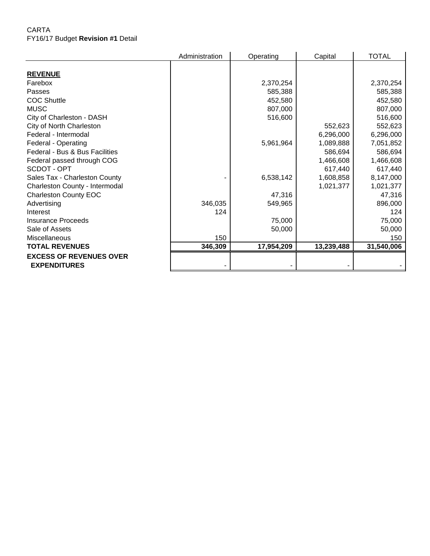## CARTA FY16/17 Budget **Revision #1** Detail

|                                | Administration | Operating  | Capital    | <b>TOTAL</b> |
|--------------------------------|----------------|------------|------------|--------------|
|                                |                |            |            |              |
| <b>REVENUE</b>                 |                |            |            |              |
| Farebox                        |                | 2,370,254  |            | 2,370,254    |
| Passes                         |                | 585,388    |            | 585,388      |
| <b>COC Shuttle</b>             |                | 452,580    |            | 452,580      |
| <b>MUSC</b>                    |                | 807,000    |            | 807,000      |
| City of Charleston - DASH      |                | 516,600    |            | 516,600      |
| City of North Charleston       |                |            | 552,623    | 552,623      |
| Federal - Intermodal           |                |            | 6,296,000  | 6,296,000    |
| Federal - Operating            |                | 5,961,964  | 1,089,888  | 7,051,852    |
| Federal - Bus & Bus Facilities |                |            | 586,694    | 586,694      |
| Federal passed through COG     |                |            | 1,466,608  | 1,466,608    |
| SCDOT - OPT                    |                |            | 617,440    | 617,440      |
| Sales Tax - Charleston County  |                | 6,538,142  | 1,608,858  | 8,147,000    |
| Charleston County - Intermodal |                |            | 1,021,377  | 1,021,377    |
| <b>Charleston County EOC</b>   |                | 47,316     |            | 47,316       |
| Advertising                    | 346,035        | 549,965    |            | 896,000      |
| Interest                       | 124            |            |            | 124          |
| Insurance Proceeds             |                | 75,000     |            | 75,000       |
| Sale of Assets                 |                | 50,000     |            | 50,000       |
| Miscellaneous                  | 150            |            |            | 150          |
| <b>TOTAL REVENUES</b>          | 346,309        | 17,954,209 | 13,239,488 | 31,540,006   |
| <b>EXCESS OF REVENUES OVER</b> |                |            |            |              |
| <b>EXPENDITURES</b>            |                |            |            |              |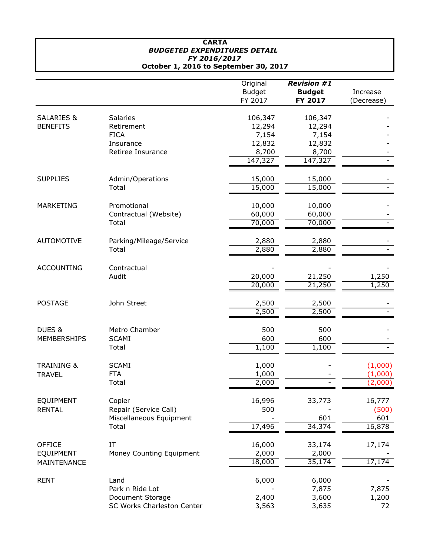#### **CARTA** *BUDGETED EXPENDITURES DETAIL FY 2016/2017* **October 1, 2016 to September 30, 2017**

|                       |                                                | Original<br><b>Budget</b><br>FY 2017 | <b>Revision #1</b><br><b>Budget</b><br>FY 2017 | Increase<br>(Decrease) |
|-----------------------|------------------------------------------------|--------------------------------------|------------------------------------------------|------------------------|
| <b>SALARIES &amp;</b> | Salaries                                       | 106,347                              | 106,347                                        |                        |
| <b>BENEFITS</b>       | Retirement                                     | 12,294                               | 12,294                                         |                        |
|                       | <b>FICA</b>                                    | 7,154                                | 7,154                                          |                        |
|                       | Insurance                                      | 12,832                               | 12,832                                         |                        |
|                       | Retiree Insurance                              | 8,700                                | 8,700                                          |                        |
|                       |                                                | 147,327                              | 147,327                                        |                        |
| <b>SUPPLIES</b>       | Admin/Operations                               | 15,000                               | 15,000                                         |                        |
|                       | Total                                          | 15,000                               | 15,000                                         |                        |
| <b>MARKETING</b>      | Promotional                                    | 10,000                               | 10,000                                         |                        |
|                       | Contractual (Website)                          | 60,000                               | 60,000                                         |                        |
|                       | Total                                          | 70,000                               | 70,000                                         |                        |
| <b>AUTOMOTIVE</b>     | Parking/Mileage/Service                        | 2,880                                | 2,880                                          |                        |
|                       | Total                                          | 2,880                                | 2,880                                          |                        |
| <b>ACCOUNTING</b>     | Contractual                                    |                                      |                                                |                        |
|                       | Audit                                          | 20,000                               | 21,250                                         | 1,250                  |
|                       |                                                | 20,000                               | 21,250                                         | 1,250                  |
| <b>POSTAGE</b>        | John Street                                    | 2,500                                | 2,500                                          |                        |
|                       |                                                | 2,500                                | 2,500                                          |                        |
| DUES &                | Metro Chamber                                  | 500                                  | 500                                            |                        |
| <b>MEMBERSHIPS</b>    | <b>SCAMI</b>                                   | 600                                  | 600                                            |                        |
|                       | Total                                          | 1,100                                | 1,100                                          |                        |
| <b>TRAINING &amp;</b> | <b>SCAMI</b>                                   | 1,000                                |                                                | (1,000)                |
| <b>TRAVEL</b>         | <b>FTA</b>                                     | 1,000                                |                                                | (1,000)                |
|                       | Total                                          | 2,000                                |                                                | (2,000)                |
| EQUIPMENT             | Copier                                         | 16,996                               | 33,773                                         | 16,777                 |
| <b>RENTAL</b>         | Repair (Service Call)                          | 500                                  |                                                | (500)                  |
|                       | Miscellaneous Equipment                        |                                      | 601                                            | 601                    |
|                       | Total                                          | 17,496                               | 34,374                                         | 16,878                 |
| <b>OFFICE</b>         | IT                                             | 16,000                               | 33,174                                         | 17,174                 |
| EQUIPMENT             | Money Counting Equipment                       | 2,000                                | 2,000                                          |                        |
| MAINTENANCE           |                                                | 18,000                               | 35,174                                         | 17,174                 |
| <b>RENT</b>           | Land                                           | 6,000                                | 6,000                                          |                        |
|                       | Park n Ride Lot                                |                                      | 7,875                                          | 7,875                  |
|                       | Document Storage<br>SC Works Charleston Center | 2,400<br>3,563                       | 3,600<br>3,635                                 | 1,200<br>72            |
|                       |                                                |                                      |                                                |                        |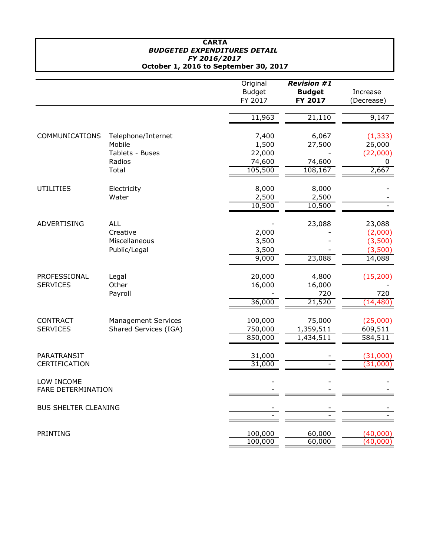#### **CARTA** *BUDGETED EXPENDITURES DETAIL FY 2016/2017* **October 1, 2016 to September 30, 2017**

|                                         |                                                         | Original<br><b>Budget</b><br>FY 2017 | <b>Revision #1</b><br><b>Budget</b><br>FY 2017 | Increase<br>(Decrease)                            |
|-----------------------------------------|---------------------------------------------------------|--------------------------------------|------------------------------------------------|---------------------------------------------------|
|                                         |                                                         | 11,963                               | 21,110                                         | 9,147                                             |
| COMMUNICATIONS                          | Telephone/Internet<br>Mobile<br>Tablets - Buses         | 7,400<br>1,500<br>22,000             | 6,067<br>27,500                                | (1, 333)<br>26,000<br>(22,000)                    |
|                                         | Radios<br>Total                                         | 74,600<br>105,500                    | 74,600<br>108,167                              | 0<br>2,667                                        |
| <b>UTILITIES</b>                        | Electricity<br>Water                                    | 8,000<br>2,500<br>10,500             | 8,000<br>2,500<br>10,500                       |                                                   |
| ADVERTISING                             | <b>ALL</b><br>Creative<br>Miscellaneous<br>Public/Legal | 2,000<br>3,500<br>3,500<br>9,000     | 23,088<br>23,088                               | 23,088<br>(2,000)<br>(3,500)<br>(3,500)<br>14,088 |
| PROFESSIONAL<br><b>SERVICES</b>         | Legal<br>Other<br>Payroll                               | 20,000<br>16,000<br>36,000           | 4,800<br>16,000<br>720<br>21,520               | (15, 200)<br>720<br>(14, 480)                     |
| <b>CONTRACT</b><br><b>SERVICES</b>      | <b>Management Services</b><br>Shared Services (IGA)     | 100,000<br>750,000<br>850,000        | 75,000<br>1,359,511<br>1,434,511               | (25,000)<br>609,511<br>584,511                    |
| PARATRANSIT<br>CERTIFICATION            |                                                         | 31,000<br>31,000                     |                                                | (31,000)<br>(31,000)                              |
| LOW INCOME<br><b>FARE DETERMINATION</b> |                                                         |                                      |                                                |                                                   |
| <b>BUS SHELTER CLEANING</b>             |                                                         |                                      |                                                |                                                   |
| PRINTING                                |                                                         | 100,000<br>100,000                   | 60,000<br>60,000                               | (40,000)<br>(40,000)                              |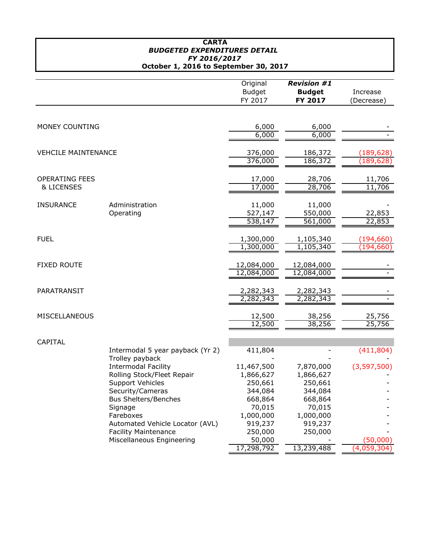#### **CARTA** *BUDGETED EXPENDITURES DETAIL FY 2016/2017* **October 1, 2016 to September 30, 2017**

|                            |                                  | Original      | <b>Revision #1</b> |             |
|----------------------------|----------------------------------|---------------|--------------------|-------------|
|                            |                                  | <b>Budget</b> | <b>Budget</b>      | Increase    |
|                            |                                  | FY 2017       | FY 2017            | (Decrease)  |
|                            |                                  |               |                    |             |
|                            |                                  |               |                    |             |
| MONEY COUNTING             |                                  | 6,000         | 6,000              |             |
|                            |                                  | 6,000         | 6,000              |             |
|                            |                                  |               |                    |             |
| <b>VEHCILE MAINTENANCE</b> |                                  | 376,000       | 186,372            | (189, 628)  |
|                            |                                  | 376,000       | 186,372            | (189, 628)  |
| <b>OPERATING FEES</b>      |                                  | 17,000        | 28,706             | 11,706      |
| <b>&amp; LICENSES</b>      |                                  | 17,000        | 28,706             | 11,706      |
|                            |                                  |               |                    |             |
| <b>INSURANCE</b>           | Administration                   | 11,000        | 11,000             |             |
|                            | Operating                        | 527,147       | 550,000            | 22,853      |
|                            |                                  | 538,147       | 561,000            | 22,853      |
|                            |                                  |               |                    |             |
| <b>FUEL</b>                |                                  | 1,300,000     | 1,105,340          | (194, 660)  |
|                            |                                  | 1,300,000     | 1,105,340          | (194, 660)  |
| <b>FIXED ROUTE</b>         |                                  | 12,084,000    | 12,084,000         |             |
|                            |                                  | 12,084,000    | 12,084,000         |             |
|                            |                                  |               |                    |             |
| PARATRANSIT                |                                  | 2,282,343     | 2,282,343          |             |
|                            |                                  | 2,282,343     | 2,282,343          |             |
|                            |                                  |               |                    |             |
| MISCELLANEOUS              |                                  | 12,500        | 38,256             | 25,756      |
|                            |                                  | 12,500        | 38,256             | 25,756      |
| CAPITAL                    |                                  |               |                    |             |
|                            | Intermodal 5 year payback (Yr 2) | 411,804       |                    | (411, 804)  |
|                            | Trolley payback                  |               |                    |             |
|                            | <b>Intermodal Facility</b>       | 11,467,500    | 7,870,000          | (3,597,500) |
|                            | Rolling Stock/Fleet Repair       | 1,866,627     | 1,866,627          |             |
|                            | <b>Support Vehicles</b>          | 250,661       | 250,661            |             |
|                            | Security/Cameras                 | 344,084       | 344,084            |             |
|                            | <b>Bus Shelters/Benches</b>      | 668,864       | 668,864            |             |
|                            | Signage                          | 70,015        | 70,015             |             |
|                            | Fareboxes                        | 1,000,000     | 1,000,000          |             |
|                            | Automated Vehicle Locator (AVL)  | 919,237       | 919,237            |             |
|                            | <b>Facility Maintenance</b>      | 250,000       | 250,000            |             |
|                            | Miscellaneous Engineering        | 50,000        |                    | (50,000)    |
|                            |                                  | 17,298,792    | 13,239,488         | (4,059,304) |
|                            |                                  |               |                    |             |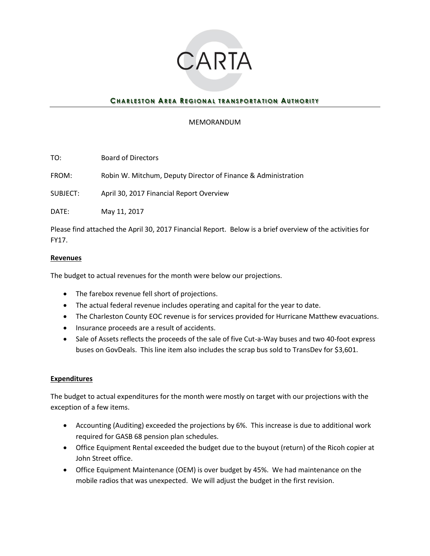

## **CHARLESTON AREA REGIONAL TRANSPORTATION AUTHORITY**

## MEMORANDUM

TO: Board of Directors

FROM: Robin W. Mitchum, Deputy Director of Finance & Administration

SUBJECT: April 30, 2017 Financial Report Overview

DATE: May 11, 2017

Please find attached the April 30, 2017 Financial Report. Below is a brief overview of the activities for FY17.

## **Revenues**

The budget to actual revenues for the month were below our projections.

- The farebox revenue fell short of projections.
- The actual federal revenue includes operating and capital for the year to date.
- The Charleston County EOC revenue is for services provided for Hurricane Matthew evacuations.
- Insurance proceeds are a result of accidents.
- Sale of Assets reflects the proceeds of the sale of five Cut-a-Way buses and two 40-foot express buses on GovDeals. This line item also includes the scrap bus sold to TransDev for \$3,601.

## **Expenditures**

The budget to actual expenditures for the month were mostly on target with our projections with the exception of a few items.

- Accounting (Auditing) exceeded the projections by 6%. This increase is due to additional work required for GASB 68 pension plan schedules.
- Office Equipment Rental exceeded the budget due to the buyout (return) of the Ricoh copier at John Street office.
- Office Equipment Maintenance (OEM) is over budget by 45%. We had maintenance on the mobile radios that was unexpected. We will adjust the budget in the first revision.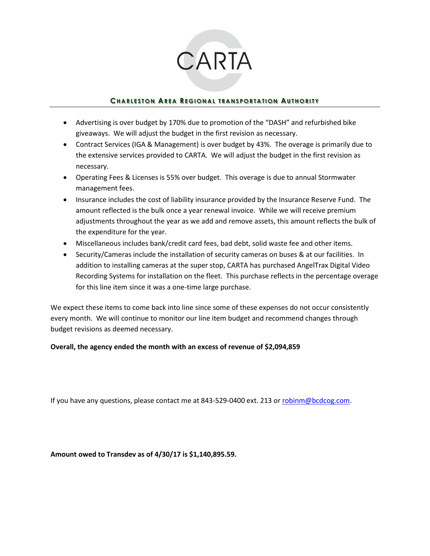## CARTA

## **CHARLESTON AREA REGIONAL TRANSPORTATION AUTHORITY**

- Advertising is over budget by 170% due to promotion of the "DASH" and refurbished bike giveaways. We will adjust the budget in the first revision as necessary.
- Contract Services (IGA & Management) is over budget by 43%. The overage is primarily due to the extensive services provided to CARTA. We will adjust the budget in the first revision as necessary.
- Operating Fees & Licenses is 55% over budget. This overage is due to annual Stormwater management fees.
- Insurance includes the cost of liability insurance provided by the Insurance Reserve Fund. The amount reflected is the bulk once a year renewal invoice. While we will receive premium adjustments throughout the year as we add and remove assets, this amount reflects the bulk of the expenditure for the year.
- Miscellaneous includes bank/credit card fees, bad debt, solid waste fee and other items.
- Security/Cameras include the installation of security cameras on buses & at our facilities. In addition to installing cameras at the super stop, CARTA has purchased AngelTrax Digital Video Recording Systems for installation on the fleet. This purchase reflects in the percentage overage for this line item since it was a one-time large purchase.

We expect these items to come back into line since some of these expenses do not occur consistently every month. We will continue to monitor our line item budget and recommend changes through budget revisions as deemed necessary.

## **Overall, the agency ended the month with an excess of revenue of \$2,094,859**

If you have any questions, please contact me at 843-529-0400 ext. 213 or [robinm@bcdcog.com.](mailto:robinm@bcdcog.com)

**Amount owed to Transdev as of 4/30/17 is \$1,140,895.59.**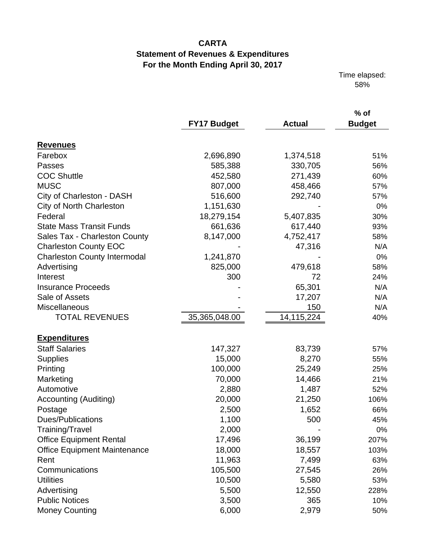Time elapsed: 58%

|                                     | <b>FY17 Budget</b> | <b>Actual</b> | $%$ of<br><b>Budget</b> |
|-------------------------------------|--------------------|---------------|-------------------------|
| <b>Revenues</b>                     |                    |               |                         |
| Farebox                             | 2,696,890          | 1,374,518     | 51%                     |
| Passes                              | 585,388            | 330,705       | 56%                     |
| <b>COC Shuttle</b>                  | 452,580            | 271,439       | 60%                     |
| <b>MUSC</b>                         | 807,000            | 458,466       | 57%                     |
| City of Charleston - DASH           | 516,600            | 292,740       | 57%                     |
| <b>City of North Charleston</b>     | 1,151,630          |               | 0%                      |
| Federal                             | 18,279,154         | 5,407,835     | 30%                     |
| <b>State Mass Transit Funds</b>     | 661,636            | 617,440       | 93%                     |
| Sales Tax - Charleston County       | 8,147,000          | 4,752,417     | 58%                     |
| <b>Charleston County EOC</b>        |                    | 47,316        | N/A                     |
| <b>Charleston County Intermodal</b> | 1,241,870          |               | 0%                      |
| Advertising                         | 825,000            | 479,618       | 58%                     |
| Interest                            | 300                | 72            | 24%                     |
| <b>Insurance Proceeds</b>           |                    | 65,301        | N/A                     |
| Sale of Assets                      |                    | 17,207        | N/A                     |
| Miscellaneous                       |                    | 150           | N/A                     |
| <b>TOTAL REVENUES</b>               | 35,365,048.00      | 14,115,224    | 40%                     |
| <b>Expenditures</b>                 |                    |               |                         |
| <b>Staff Salaries</b>               | 147,327            | 83,739        | 57%                     |
| <b>Supplies</b>                     | 15,000             | 8,270         | 55%                     |
| Printing                            | 100,000            | 25,249        | 25%                     |
| Marketing                           | 70,000             | 14,466        | 21%                     |
| Automotive                          | 2,880              | 1,487         | 52%                     |
| Accounting (Auditing)               | 20,000             | 21,250        | 106%                    |
| Postage                             | 2,500              | 1,652         | 66%                     |
| Dues/Publications                   | 1,100              | 500           | 45%                     |
| Training/Travel                     | 2,000              |               | $0\%$                   |
| <b>Office Equipment Rental</b>      | 17,496             | 36,199        | 207%                    |
| <b>Office Equipment Maintenance</b> | 18,000             | 18,557        | 103%                    |
| Rent                                | 11,963             | 7,499         | 63%                     |
| Communications                      | 105,500            | 27,545        | 26%                     |
| <b>Utilities</b>                    | 10,500             | 5,580         | 53%                     |
| Advertising                         | 5,500              | 12,550        | 228%                    |
| <b>Public Notices</b>               | 3,500              | 365           | 10%                     |
| <b>Money Counting</b>               | 6,000              | 2,979         | 50%                     |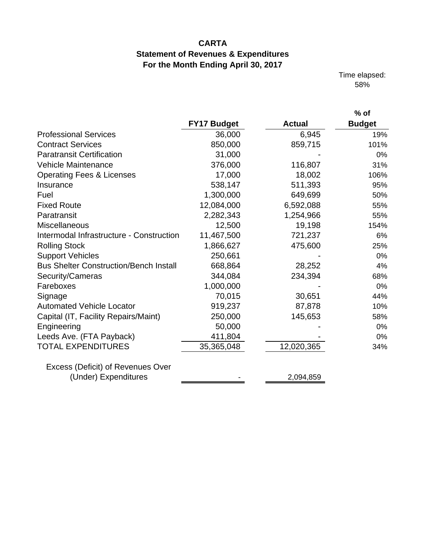Time elapsed: 58%

|                                               |             |               | $%$ of        |
|-----------------------------------------------|-------------|---------------|---------------|
|                                               | FY17 Budget | <b>Actual</b> | <b>Budget</b> |
| <b>Professional Services</b>                  | 36,000      | 6,945         | 19%           |
| <b>Contract Services</b>                      | 850,000     | 859,715       | 101%          |
| <b>Paratransit Certification</b>              | 31,000      |               | 0%            |
| <b>Vehicle Maintenance</b>                    | 376,000     | 116,807       | 31%           |
| <b>Operating Fees &amp; Licenses</b>          | 17,000      | 18,002        | 106%          |
| Insurance                                     | 538,147     | 511,393       | 95%           |
| Fuel                                          | 1,300,000   | 649,699       | 50%           |
| <b>Fixed Route</b>                            | 12,084,000  | 6,592,088     | 55%           |
| Paratransit                                   | 2,282,343   | 1,254,966     | 55%           |
| Miscellaneous                                 | 12,500      | 19,198        | 154%          |
| Intermodal Infrastructure - Construction      | 11,467,500  | 721,237       | 6%            |
| <b>Rolling Stock</b>                          | 1,866,627   | 475,600       | 25%           |
| <b>Support Vehicles</b>                       | 250,661     |               | 0%            |
| <b>Bus Shelter Construction/Bench Install</b> | 668,864     | 28,252        | 4%            |
| Security/Cameras                              | 344,084     | 234,394       | 68%           |
| Fareboxes                                     | 1,000,000   |               | $0\%$         |
| Signage                                       | 70,015      | 30,651        | 44%           |
| <b>Automated Vehicle Locator</b>              | 919,237     | 87,878        | 10%           |
| Capital (IT, Facility Repairs/Maint)          | 250,000     | 145,653       | 58%           |
| Engineering                                   | 50,000      |               | 0%            |
| Leeds Ave. (FTA Payback)                      | 411,804     |               | $0\%$         |
| <b>TOTAL EXPENDITURES</b>                     | 35,365,048  | 12,020,365    | 34%           |
| Excess (Deficit) of Revenues Over             |             |               |               |
| (Under) Expenditures                          |             | 2,094,859     |               |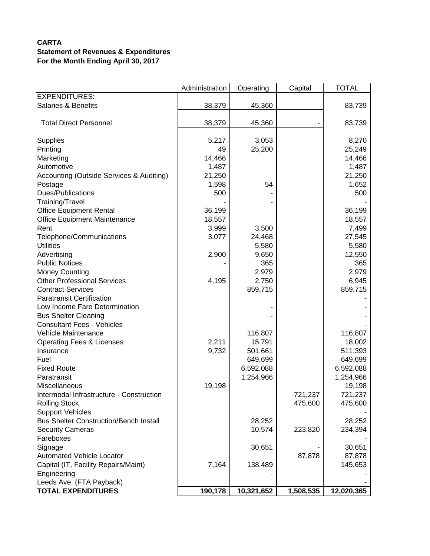|                                               | Administration | Operating  | Capital   | <b>TOTAL</b> |
|-----------------------------------------------|----------------|------------|-----------|--------------|
| <b>EXPENDITURES:</b>                          |                |            |           |              |
| <b>Salaries &amp; Benefits</b>                | 38,379         | 45,360     |           | 83,739       |
|                                               |                |            |           |              |
| <b>Total Direct Personnel</b>                 | 38,379         | 45,360     |           | 83,739       |
| Supplies                                      | 5,217          | 3,053      |           | 8,270        |
| Printing                                      | 49             | 25,200     |           | 25,249       |
| Marketing                                     | 14,466         |            |           | 14,466       |
| Automotive                                    | 1,487          |            |           | 1,487        |
| Accounting (Outside Services & Auditing)      | 21,250         |            |           | 21,250       |
| Postage                                       | 1,598          | 54         |           | 1,652        |
| Dues/Publications                             | 500            |            |           | 500          |
| Training/Travel                               |                |            |           |              |
| <b>Office Equipment Rental</b>                | 36,199         |            |           | 36,199       |
| <b>Office Equipment Maintenance</b>           | 18,557         |            |           | 18,557       |
| Rent                                          | 3,999          | 3,500      |           | 7,499        |
| Telephone/Communications                      | 3,077          | 24,468     |           | 27,545       |
| <b>Utilities</b>                              |                | 5,580      |           | 5,580        |
| Advertising                                   | 2,900          | 9,650      |           | 12,550       |
| <b>Public Notices</b>                         |                | 365        |           | 365          |
| <b>Money Counting</b>                         |                | 2,979      |           | 2,979        |
| <b>Other Professional Services</b>            | 4,195          | 2,750      |           | 6,945        |
| <b>Contract Services</b>                      |                | 859,715    |           | 859,715      |
| <b>Paratransit Certification</b>              |                |            |           |              |
| Low Income Fare Determination                 |                |            |           |              |
| <b>Bus Shelter Cleaning</b>                   |                |            |           |              |
| <b>Consultant Fees - Vehicles</b>             |                |            |           |              |
| Vehicle Maintenance                           |                | 116,807    |           | 116,807      |
| <b>Operating Fees &amp; Licenses</b>          | 2,211          | 15,791     |           | 18,002       |
| Insurance                                     | 9,732          | 501,661    |           | 511,393      |
| Fuel                                          |                | 649,699    |           | 649,699      |
| <b>Fixed Route</b>                            |                | 6,592,088  |           | 6,592,088    |
| Paratransit                                   |                | 1,254,966  |           | 1,254,966    |
| Miscellaneous                                 | 19,198         |            |           | 19,198       |
| Intermodal Infrastructure - Construction      |                |            | 721,237   | 721,237      |
| <b>Rolling Stock</b>                          |                |            | 475,600   | 475,600      |
| <b>Support Vehicles</b>                       |                |            |           |              |
| <b>Bus Shelter Construction/Bench Install</b> |                | 28,252     |           | 28,252       |
| <b>Security Cameras</b>                       |                | 10,574     | 223,820   | 234,394      |
| Fareboxes                                     |                |            |           |              |
| Signage                                       |                | 30,651     |           | 30,651       |
| <b>Automated Vehicle Locator</b>              |                |            | 87,878    | 87,878       |
| Capital (IT, Facility Repairs/Maint)          | 7,164          | 138,489    |           | 145,653      |
| Engineering                                   |                |            |           |              |
| Leeds Ave. (FTA Payback)                      |                |            |           |              |
| <b>TOTAL EXPENDITURES</b>                     | 190,178        | 10,321,652 | 1,508,535 | 12,020,365   |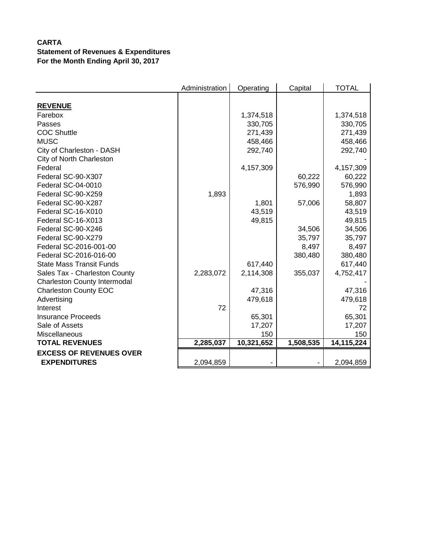|                                     | Administration | Operating  | Capital   | <b>TOTAL</b> |
|-------------------------------------|----------------|------------|-----------|--------------|
|                                     |                |            |           |              |
| <b>REVENUE</b>                      |                |            |           |              |
| Farebox                             |                | 1,374,518  |           | 1,374,518    |
| Passes                              |                | 330,705    |           | 330,705      |
| <b>COC Shuttle</b>                  |                | 271,439    |           | 271,439      |
| <b>MUSC</b>                         |                | 458,466    |           | 458,466      |
| City of Charleston - DASH           |                | 292,740    |           | 292,740      |
| City of North Charleston            |                |            |           |              |
| Federal                             |                | 4,157,309  |           | 4,157,309    |
| Federal SC-90-X307                  |                |            | 60,222    | 60,222       |
| Federal SC-04-0010                  |                |            | 576,990   | 576,990      |
| Federal SC-90-X259                  | 1,893          |            |           | 1,893        |
| Federal SC-90-X287                  |                | 1,801      | 57,006    | 58,807       |
| Federal SC-16-X010                  |                | 43,519     |           | 43,519       |
| Federal SC-16-X013                  |                | 49,815     |           | 49,815       |
| Federal SC-90-X246                  |                |            | 34,506    | 34,506       |
| Federal SC-90-X279                  |                |            | 35,797    | 35,797       |
| Federal SC-2016-001-00              |                |            | 8,497     | 8,497        |
| Federal SC-2016-016-00              |                |            | 380,480   | 380,480      |
| <b>State Mass Transit Funds</b>     |                | 617,440    |           | 617,440      |
| Sales Tax - Charleston County       | 2,283,072      | 2,114,308  | 355,037   | 4,752,417    |
| <b>Charleston County Intermodal</b> |                |            |           |              |
| <b>Charleston County EOC</b>        |                | 47,316     |           | 47,316       |
| Advertising                         |                | 479,618    |           | 479,618      |
| Interest                            | 72             |            |           | 72           |
| <b>Insurance Proceeds</b>           |                | 65,301     |           | 65,301       |
| Sale of Assets                      |                | 17,207     |           | 17,207       |
| Miscellaneous                       |                | 150        |           | 150          |
| <b>TOTAL REVENUES</b>               | 2,285,037      | 10,321,652 | 1,508,535 | 14,115,224   |
| <b>EXCESS OF REVENUES OVER</b>      |                |            |           |              |
| <b>EXPENDITURES</b>                 | 2,094,859      |            |           | 2,094,859    |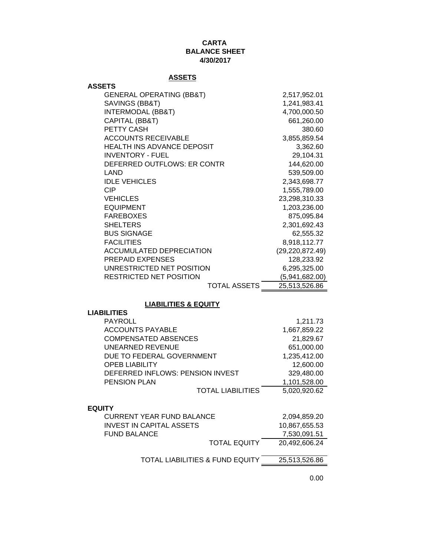## **CARTA BALANCE SHEET 4/30/2017**

## **ASSETS**

| 835 L I J                           |                   |
|-------------------------------------|-------------------|
| <b>ASSETS</b>                       |                   |
| <b>GENERAL OPERATING (BB&amp;T)</b> | 2,517,952.01      |
| SAVINGS (BB&T)                      | 1,241,983.41      |
| <b>INTERMODAL (BB&amp;T)</b>        | 4,700,000.50      |
| CAPITAL (BB&T)                      | 661,260.00        |
| PETTY CASH                          | 380.60            |
| <b>ACCOUNTS RECEIVABLE</b>          | 3,855,859.54      |
| HEALTH INS ADVANCE DEPOSIT          | 3,362.60          |
| <b>INVENTORY - FUEL</b>             | 29,104.31         |
| DEFERRED OUTFLOWS: ER CONTR         | 144,620.00        |
| LAND                                | 539,509.00        |
| <b>IDLE VEHICLES</b>                | 2,343,698.77      |
| CIP                                 | 1,555,789.00      |
| <b>VEHICLES</b>                     | 23,298,310.33     |
| <b>EQUIPMENT</b>                    | 1,203,236.00      |
| <b>FAREBOXES</b>                    | 875,095.84        |
| <b>SHELTERS</b>                     | 2,301,692.43      |
| <b>BUS SIGNAGE</b>                  | 62,555.32         |
| <b>FACILITIES</b>                   | 8,918,112.77      |
| ACCUMULATED DEPRECIATION            | (29, 220, 872.49) |
| <b>PREPAID EXPENSES</b>             | 128,233.92        |
| UNRESTRICTED NET POSITION           | 6,295,325.00      |
| RESTRICTED NET POSITION             | (5,941,682.00)    |
| TOTAL ASSETS                        | 25,513,526.86     |
|                                     |                   |

## **LIABILITIES & EQUITY**

| <b>LIABILITIES</b>                         |               |
|--------------------------------------------|---------------|
| <b>PAYROLL</b>                             | 1,211.73      |
| <b>ACCOUNTS PAYABLE</b>                    | 1,667,859.22  |
| <b>COMPENSATED ABSENCES</b>                | 21,829.67     |
| UNEARNED REVENUE                           | 651,000.00    |
| DUE TO FEDERAL GOVERNMENT                  | 1,235,412.00  |
| <b>OPEB LIABILITY</b>                      | 12,600.00     |
| DEFERRED INFLOWS: PENSION INVEST           | 329,480.00    |
| <b>PENSION PLAN</b>                        | 1,101,528.00  |
| <b>TOTAL LIABILITIES</b>                   | 5,020,920.62  |
|                                            |               |
| <b>EQUITY</b>                              |               |
| <b>CURRENT YEAR FUND BALANCE</b>           | 2,094,859.20  |
| <b>INVEST IN CAPITAL ASSETS</b>            | 10,867,655.53 |
| <b>FUND BALANCE</b>                        | 7,530,091.51  |
| <b>TOTAL EQUITY</b>                        | 20,492,606.24 |
| <b>TOTAL LIABILITIES &amp; FUND EQUITY</b> | 25,513,526.86 |
|                                            |               |

0.00